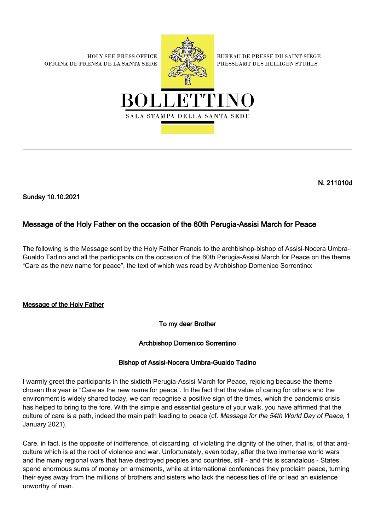**HOLY SEE PRESS OFFICE** OFICINA DE PRENSA DE LA SANTA SEDE



**BUREAU DE PRESSE DU SAINT-SIEGE** PRESSEAMT DES HEILIGEN STUHLS



N. 211010d

Sunday 10.10.2021

## Message of the Holy Father on the occasion of the 60th Perugia-Assisi March for Peace

The following is the Message sent by the Holy Father Francis to the archbishop-bishop of Assisi-Nocera Umbra-Gualdo Tadino and all the participants on the occasion of the 60th Perugia-Assisi March for Peace on the theme "Care as the new name for peace", the text of which was read by Archbishop Domenico Sorrentino:

## Message of the Holy Father

To my dear Brother

## Archbishop Domenico Sorrentino

## Bishop of Assisi-Nocera Umbra-Gualdo Tadino

I warmly greet the participants in the sixtieth Perugia-Assisi March for Peace, rejoicing because the theme chosen this year is "Care as the new name for peace". In the fact that the value of caring for others and the environment is widely shared today, we can recognise a positive sign of the times, which the pandemic crisis has helped to bring to the fore. With the simple and essential gesture of your walk, you have affirmed that the culture of care is a path, indeed the main path leading to peace (cf. Message for the 54th World Day of Peace, 1 January 2021).

Care, in fact, is the opposite of indifference, of discarding, of violating the dignity of the other, that is, of that anticulture which is at the root of violence and war. Unfortunately, even today, after the two immense world wars and the many regional wars that have destroyed peoples and countries, still - and this is scandalous - States spend enormous sums of money on armaments, while at international conferences they proclaim peace, turning their eyes away from the millions of brothers and sisters who lack the necessities of life or lead an existence unworthy of man.